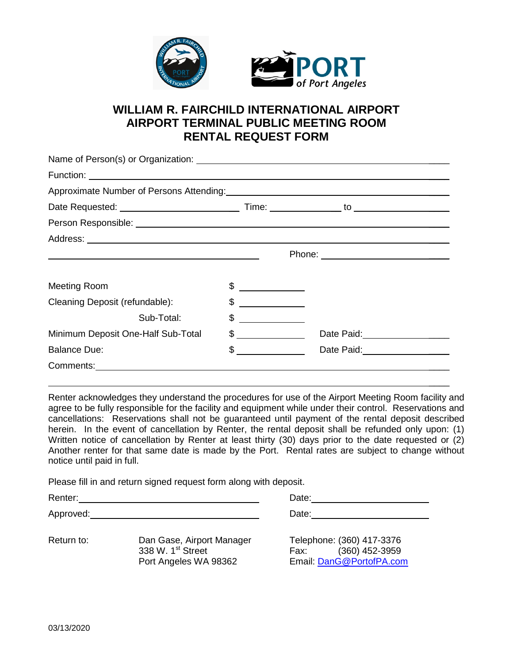

## **WILLIAM R. FAIRCHILD INTERNATIONAL AIRPORT AIRPORT TERMINAL PUBLIC MEETING ROOM RENTAL REQUEST FORM**

| Approximate Number of Persons Attending: Manual Manual Manual Manual Manual Manual Manual Manual Manual Manua                                                                                                                  |                                                           |                                  |  |  |  |  |
|--------------------------------------------------------------------------------------------------------------------------------------------------------------------------------------------------------------------------------|-----------------------------------------------------------|----------------------------------|--|--|--|--|
|                                                                                                                                                                                                                                |                                                           |                                  |  |  |  |  |
| Person Responsible: Law and the contract of the contract of the contract of the contract of the contract of the contract of the contract of the contract of the contract of the contract of the contract of the contract of th |                                                           |                                  |  |  |  |  |
|                                                                                                                                                                                                                                |                                                           |                                  |  |  |  |  |
| <u> 1999 - Johann Stoff, deutscher Stoffen und der Stoffen und der Stoffen und der Stoffen und der Stoffen und der</u>                                                                                                         |                                                           |                                  |  |  |  |  |
|                                                                                                                                                                                                                                |                                                           |                                  |  |  |  |  |
| Meeting Room                                                                                                                                                                                                                   | $\frac{1}{2}$                                             |                                  |  |  |  |  |
| Cleaning Deposit (refundable):                                                                                                                                                                                                 | $\frac{1}{2}$                                             |                                  |  |  |  |  |
| Sub-Total:                                                                                                                                                                                                                     | $\begin{array}{c} \hline \text{S} & \text{S} \end{array}$ |                                  |  |  |  |  |
| Minimum Deposit One-Half Sub-Total                                                                                                                                                                                             | $\frac{1}{2}$                                             | Date Paid:<br><u> Letter and</u> |  |  |  |  |
| <b>Balance Due:</b>                                                                                                                                                                                                            | $\frac{1}{2}$                                             | Date Paid:<br><u> Letter and</u> |  |  |  |  |
|                                                                                                                                                                                                                                |                                                           |                                  |  |  |  |  |

Renter acknowledges they understand the procedures for use of the Airport Meeting Room facility and agree to be fully responsible for the facility and equipment while under their control. Reservations and cancellations: Reservations shall not be guaranteed until payment of the rental deposit described herein. In the event of cancellation by Renter, the rental deposit shall be refunded only upon: (1) Written notice of cancellation by Renter at least thirty (30) days prior to the date requested or (2) Another renter for that same date is made by the Port. Rental rates are subject to change without notice until paid in full.

 $\mathcal{L}$ 

Please fill in and return signed request form along with deposit.

| Renter:    |                                                                                     | Date:                                                                           |  |  |
|------------|-------------------------------------------------------------------------------------|---------------------------------------------------------------------------------|--|--|
| Approved:  |                                                                                     | Date:                                                                           |  |  |
| Return to: | Dan Gase, Airport Manager<br>338 W. 1 <sup>st</sup> Street<br>Port Angeles WA 98362 | Telephone: (360) 417-3376<br>(360) 452-3959<br>Fax:<br>Email: DanG@PortofPA.com |  |  |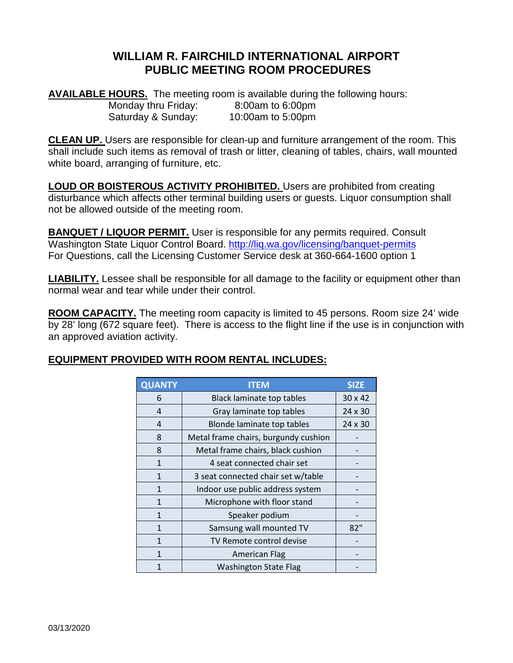## **WILLIAM R. FAIRCHILD INTERNATIONAL AIRPORT PUBLIC MEETING ROOM PROCEDURES**

**AVAILABLE HOURS.** The meeting room is available during the following hours: Monday thru Friday: 8:00am to 6:00pm Saturday & Sunday: 10:00am to 5:00pm

**CLEAN UP.** Users are responsible for clean-up and furniture arrangement of the room. This shall include such items as removal of trash or litter, cleaning of tables, chairs, wall mounted white board, arranging of furniture, etc.

**LOUD OR BOISTEROUS ACTIVITY PROHIBITED.** Users are prohibited from creating disturbance which affects other terminal building users or guests. Liquor consumption shall not be allowed outside of the meeting room.

**BANQUET / LIQUOR PERMIT.** User is responsible for any permits required. Consult Washington State Liquor Control Board. <http://liq.wa.gov/licensing/banquet-permits> For Questions, call the Licensing Customer Service desk at 360-664-1600 option 1

**LIABILITY.** Lessee shall be responsible for all damage to the facility or equipment other than normal wear and tear while under their control.

**ROOM CAPACITY.** The meeting room capacity is limited to 45 persons. Room size 24' wide by 28' long (672 square feet). There is access to the flight line if the use is in conjunction with an approved aviation activity.

## **EQUIPMENT PROVIDED WITH ROOM RENTAL INCLUDES:**

| <b>QUANTY</b>  | <b>ITEM</b>                          | <b>SIZE</b>    |
|----------------|--------------------------------------|----------------|
| 6              | <b>Black laminate top tables</b>     | 30 x 42        |
| 4              | Gray laminate top tables             | $24 \times 30$ |
| $\overline{4}$ | Blonde laminate top tables           | $24 \times 30$ |
| 8              | Metal frame chairs, burgundy cushion |                |
| 8              | Metal frame chairs, black cushion    |                |
| 1              | 4 seat connected chair set           |                |
| 1              | 3 seat connected chair set w/table   |                |
| 1              | Indoor use public address system     |                |
| 1              | Microphone with floor stand          |                |
| 1              | Speaker podium                       |                |
| 1              | Samsung wall mounted TV              | 82"            |
| 1              | TV Remote control devise             |                |
| 1              | <b>American Flag</b>                 |                |
|                | <b>Washington State Flag</b>         |                |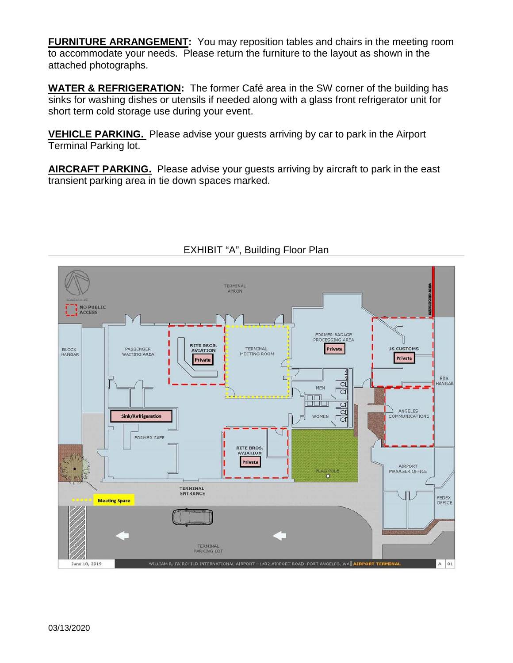**FURNITURE ARRANGEMENT:** You may reposition tables and chairs in the meeting room to accommodate your needs. Please return the furniture to the layout as shown in the attached photographs.

**WATER & REFRIGERATION:** The former Café area in the SW corner of the building has sinks for washing dishes or utensils if needed along with a glass front refrigerator unit for short term cold storage use during your event.

**VEHICLE PARKING.** Please advise your guests arriving by car to park in the Airport Terminal Parking lot.

**AIRCRAFT PARKING.** Please advise your guests arriving by aircraft to park in the east transient parking area in tie down spaces marked.



## EXHIBIT "A", Building Floor Plan